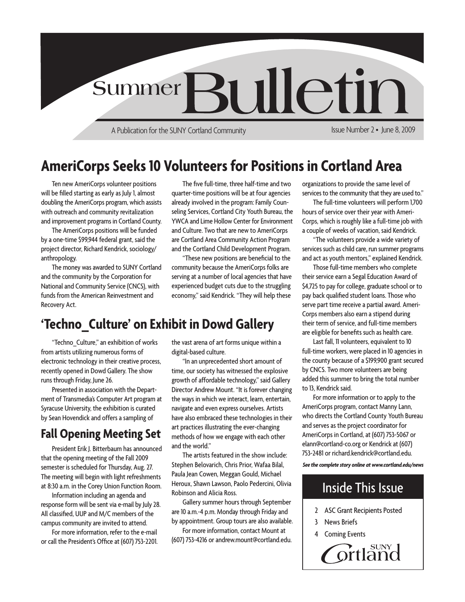

A Publication for the SUNY Cortland Community

Issue Number 2 • June 8, 2009

### **AmeriCorps Seeks 10 Volunteers for Positions in Cortland Area**

Ten new AmeriCorps volunteer positions will be filled starting as early as July 1, almost doubling the AmeriCorps program, which assists with outreach and community revitalization and improvement programs in Cortland County.

The AmeriCorps positions will be funded by a one-time \$99,944 federal grant, said the project director, Richard Kendrick, sociology/ anthropology.

The money was awarded to SUNY Cortland and the community by the Corporation for National and Community Service (CNCS), with funds from the American Reinvestment and Recovery Act.

The five full-time, three half-time and two quarter-time positions will be at four agencies already involved in the program: Family Counseling Services, Cortland City Youth Bureau, the YWCA and Lime Hollow Center for Environment and Culture. Two that are new to AmeriCorps are Cortland Area Community Action Program and the Cortland Child Development Program.

"These new positions are beneficial to the community because the AmeriCorps folks are serving at a number of local agencies that have experienced budget cuts due to the struggling economy," said Kendrick. "They will help these

### **'Techno\_Culture' on Exhibit in Dowd Gallery**

"Techno\_Culture," an exhibition of works from artists utilizing numerous forms of electronic technology in their creative process, recently opened in Dowd Gallery. The show runs through Friday, June 26.

Presented in association with the Department of Transmedia's Computer Art program at Syracuse University, the exhibition is curated by Sean Hovendick and offers a sampling of

### **Fall Opening Meeting Set**

that the opening meeting of the Fall 2009 semester is scheduled for Thursday, Aug. 27. The meeting will begin with light refreshments at 8:30 a.m. in the Corey Union Function Room.

Information including an agenda and response form will be sent via e-mail by July 28. All classified, UUP and M/C members of the campus community are invited to attend.

For more information, refer to the e-mail or call the President's Office at (607) 753-2201. the vast arena of art forms unique within a digital-based culture.

"In an unprecedented short amount of time, our society has witnessed the explosive growth of affordable technology," said Gallery Director Andrew Mount. "It is forever changing the ways in which we interact, learn, entertain, navigate and even express ourselves. Artists have also embraced these technologies in their art practices illustrating the ever-changing methods of how we engage with each other and the world."

The artists featured in the show include: Stephen Belovarich, Chris Prior, Wafaa Bilal, Paula Jean Cowen, Meggan Gould, Michael Heroux, Shawn Lawson, Paolo Pedercini, Olivia Robinson and Alicia Ross.

Gallery summer hours through September are 10 a.m.-4 p.m. Monday through Friday and by appointment. Group tours are also available.

For more information, contact Mount at (607) 753-4216 or andrew.mount@cortland.edu. organizations to provide the same level of services to the community that they are used to."

The full-time volunteers will perform 1,700 hours of service over their year with Ameri-Corps, which is roughly like a full-time job with a couple of weeks of vacation, said Kendrick.

"The volunteers provide a wide variety of services such as child care, run summer programs and act as youth mentors," explained Kendrick.

Those full-time members who complete their service earn a Segal Education Award of \$4,725 to pay for college, graduate school or to pay back qualified student loans. Those who serve part time receive a partial award. Ameri-Corps members also earn a stipend during their term of service, and full-time members are eligible for benefits such as health care.

Last fall, 11 volunteers, equivalent to 10 full-time workers, were placed in 10 agencies in the county because of a \$199,900 grant secured by CNCS. Two more volunteers are being added this summer to bring the total number to 13, Kendrick said.

For more information or to apply to the AmeriCorps program, contact Manny Lann, who directs the Cortland County Youth Bureau and serves as the project coordinator for AmeriCorps in Cortland, at (607) 753-5067 or elann@cortland-co.org or Kendrick at (607) President Erik J. Bitterbaum has announced and the world.<br>The extists featured in the show include: 753-2481 or richard.kendrick@cortland.edu.

*See the complete story online at www.cortland.edu/news*

### Inside This Issue

- 2 ASC Grant Recipients Posted
- 3 News Briefs
- **Coming Events**

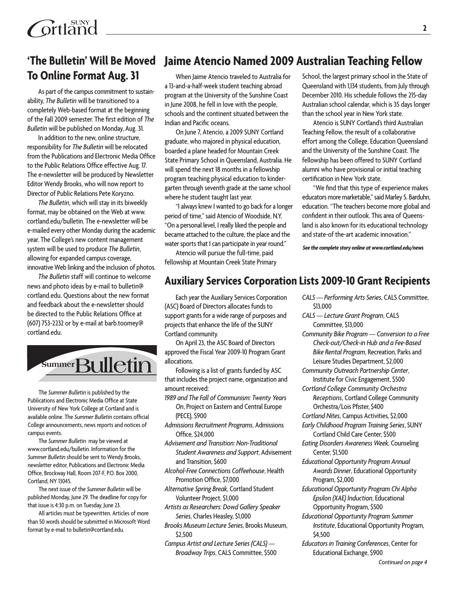# **To Online Format Aug. 31**

As part of the campus commitment to sustainability, *The Bulletin* will be transitioned to a completely Web-based format at the beginning of the Fall 2009 semester. The first edition of *The Bulletin* will be published on Monday, Aug. 31.

In addition to the new, online structure, responsibility for *The Bulletin* will be relocated from the Publications and Electronic Media Office to the Public Relations Office effective Aug. 17. The e-newsletter will be produced by Newsletter Editor Wendy Brooks, who will now report to Director of Public Relations Pete Koryzno.

*The Bulletin*, which will stay in its biweekly format, may be obtained on the Web at www. cortland.edu/bulletin. The e-newsletter will be e-mailed every other Monday during the academic year. The College's new content management system will be used to produce *The Bulletin*, allowing for expanded campus coverage, innovative Web linking and the inclusion of photos.

*The Bulletin* staff will continue to welcome news and photo ideas by e-mail to bulletin@ cortland.edu. Questions about the new format and feedback about the e-newsletter should be directed to the Public Relations Office at (607) 753-2232 or by e-mail at barb.toomey@ cortland.edu.



The *Summer Bulletin* is published by the Publications and Electronic Media Office at State University of New York College at Cortland and is available online. The *Summer Bulletin* contains official College announcements, news reports and notices of campus events.

The *Summer Bulletin* may be viewed at www.cortland.edu/bulletin. Information for the *Summer Bulletin* should be sent to Wendy Brooks, newsletter editor, Publications and Electronic Media Office, Brockway Hall, Room 207-F, P.O. Box 2000, Cortland, NY 13045.

The next issue of the *Summer Bulletin* will be published Monday, June 29. The deadline for copy for that issue is 4:30 p.m. on Tuesday, June 23.

All articles must be typewritten. Articles of more than 50 words should be submitted in Microsoft Word format by e-mail to bulletin@cortland.edu.

### 'The Bulletin' Will Be Moved Jaime Atencio Named 2009 Australian Teaching Fellow

When Jaime Atencio traveled to Australia for a 13-and-a-half-week student teaching abroad program at the University of the Sunshine Coast in June 2008, he fell in love with the people, schools and the continent situated between the Indian and Pacific oceans.

On June 7, Atencio, a 2009 SUNY Cortland graduate, who majored in physical education, boarded a plane headed for Mountain Creek State Primary School in Queensland, Australia. He will spend the next 18 months in a fellowship program teaching physical education to kindergarten through seventh grade at the same school where he student taught last year.

"I always knew I wanted to go back for a longer period of time," said Atencio of Woodside, N.Y. "On a personal level, I really liked the people and became attached to the culture, the place and the water sports that I can participate in year round."

Atencio will pursue the full-time, paid fellowship at Mountain Creek State Primary School, the largest primary school in the State of Queensland with 1,134 students, from July through December 2010. His schedule follows the 215-day Australian school calendar, which is 35 days longer than the school year in New York state.

Atencio is SUNY Cortland's third Australian Teaching Fellow, the result of a collaborative effort among the College, Education Queensland and the University of the Sunshine Coast. The fellowship has been offered to SUNY Cortland alumni who have provisional or initial teaching certification in New York state.

"We find that this type of experience makes educators more marketable," said Marley S. Barduhn, education. "The teachers become more global and confident in their outlook. This area of Queensland is also known for its educational technology and state-of the-art academic innovation."

*See the complete story online at www.cortland.edu/news*

#### **Auxiliary Services Corporation Lists 2009-10 Grant Recipients**

Each year the Auxiliary Services Corporation (ASC) Board of Directors allocates funds to support grants for a wide range of purposes and projects that enhance the life of the SUNY Cortland community.

On April 23, the ASC Board of Directors approved the Fiscal Year 2009-10 Program Grant allocations.

Following is a list of grants funded by ASC that includes the project name, organization and amount received:

*1989 and The Fall of Communism: Twenty Years On*, Project on Eastern and Central Europe (PECE), \$900

*Admissions Recruitment Programs*, Admissions Office, \$24,000

*Advisement and Transition: Non-Traditional Student Awareness and Support*, Advisement and Transition, \$600

*Alcohol-Free Connections Coffeehouse*, Health Promotion Office, \$7,000

*Alternative Spring Break*, Cortland Student Volunteer Project, \$1,000

*Artists as Researchers: Dowd Gallery Speaker Series*, Charles Heasley, \$1,000

*Brooks Museum Lecture Series*, Brooks Museum, \$2,500

*Campus Artist and Lecture Series (CALS) — Broadway Trips*, CALS Committee, \$500

- *CALS Performing Arts Series*, CALS Committee, \$13,000
- *CALS Lecture Grant Program*, CALS Committee, \$13,000
- *Community Bike Program Conversion to a Free Check-out/Check-in Hub and a Fee-Based Bike Rental Program*, Recreation, Parks and Leisure Studies Department, \$2,000
- *Community Outreach Partnership Center*, Institute for Civic Engagement, \$500
- *Cortland College Community Orchestra Receptions*, Cortland College Community Orchestra/Lois Pfister, \$400
- *Cortland Nites*, Campus Activities, \$2,000
- *Early Childhood Program Training Series*, SUNY Cortland Child Care Center, \$500
- *Eating Disorders Awareness Week*, Counseling Center, \$1,500
- *Educational Opportunity Program Annual Awards Dinner*, Educational Opportunity Program, \$2,000
- *Educational Opportunity Program Chi Alpha Epsilon (XAE) Induction*, Educational Opportunity Program, \$500
- *Educational Opportunity Program Summer Institute*, Educational Opportunity Program, \$4,500
- *Educators in Training Conferences*, Center for Educational Exchange, \$900

*Continued on page 4*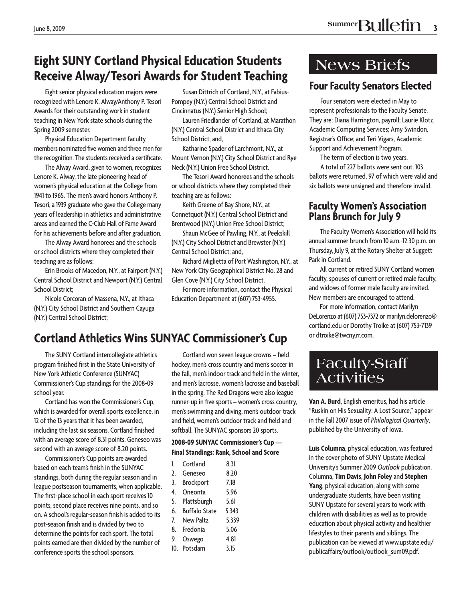### **Eight SUNY Cortland Physical Education Students Receive Alway/Tesori Awards for Student Teaching**

Eight senior physical education majors were recognized with Lenore K. Alway/Anthony P. Tesori Awards for their outstanding work in student teaching in New York state schools during the Spring 2009 semester.

**Physical Education Department faculty** members nominated five women and three men for the recognition. The students received a certificate.

The Alway Award, given to women, recognizes Lenore K. Alway, the late pioneering head of women's physical education at the College from 1941 to 1965. The men's award honors Anthony P. Tesori, a 1939 graduate who gave the College many years of leadership in athletics and administrative areas and earned the C-Club Hall of Fame Award for his achievements before and after graduation.

The Alway Award honorees and the schools or school districts where they completed their teaching are as follows:

Erin Brooks of Macedon, N.Y., at Fairport (N.Y.) Central School District and Newport (N.Y.) Central **School District:** 

Nicole Corcoran of Massena, N.Y., at Ithaca (N.Y.) City School District and Southern Cayuga (N.Y.) Central School District;

Susan Dittrich of Cortland, N.Y., at Fabius-Pompey (N.Y.) Central School District and Cincinnatus (N.Y.) Senior High School;

Lauren Friedlander of Cortland, at Marathon (N.Y.) Central School District and Ithaca City School District; and,

Katharine Spader of Larchmont, N.Y., at Mount Vernon (N.Y.) City School District and Rye Neck (N.Y.) Union Free School District.

The Tesori Award honorees and the schools or school districts where they completed their teaching are as follows:

Keith Greene of Bay Shore, N.Y., at Connetquot (N.Y.) Central School District and Brentwood (N.Y.) Union Free School District;

Shaun McGee of Pawling, N.Y., at Peekskill (N.Y.) City School District and Brewster (N.Y.) Central School District; and,

Richard Miglietta of Port Washington, N.Y., at New York City Geographical District No. 28 and Glen Cove (N.Y.) City School District.

For more information, contact the Physical Education Department at (607) 753-4955.

### **Cortland Athletics Wins SUNYAC Commissioner's Cup**

The SUNY Cortland intercollegiate athletics program finished first in the State University of New York Athletic Conference (SUNYAC) Commissioner's Cup standings for the 2008-09 school year.

Cortland has won the Commissioner's Cup, which is awarded for overall sports excellence, in 12 of the 13 years that it has been awarded, including the last six seasons. Cortland finished with an average score of 8.31 points. Geneseo was second with an average score of 8.20 points.

Commissioner's Cup points are awarded based on each team's finish in the SUNYAC standings, both during the regular season and in league postseason tournaments, when applicable. The first-place school in each sport receives 10 points, second place receives nine points, and so on. A school's regular-season finish is added to its post-season finish and is divided by two to determine the points for each sport. The total points earned are then divided by the number of conference sports the school sponsors.

Cortland won seven league crowns - field hockey, men's cross country and men's soccer in the fall, men's indoor track and field in the winter. and men's lacrosse, women's lacrosse and baseball in the spring. The Red Dragons were also league runner-up in five sports - women's cross country, men's swimming and diving, men's outdoor track and field, women's outdoor track and field and softball. The SUNYAC sponsors 20 sports.

#### 2008-09 SUNYAC Commissioner's Cup -Final Standings: Rank, School and Score

| 1.  | Cortland             | 8.31  |
|-----|----------------------|-------|
| 2.  | Geneseo              | 8.20  |
| 3.  | <b>Brockport</b>     | 7.18  |
| 4.  | Oneonta              | 5.96  |
| 5.  | Plattsburgh          | 5.61  |
| 6.  | <b>Buffalo State</b> | 5.343 |
| 7.  | <b>New Paltz</b>     | 5.339 |
| 8.  | Fredonia             | 5.06  |
| 9.  | Oswego               | 4.81  |
| 10. | Potsdam              | 3.15  |

### **News Briefs**

### **Four Faculty Senators Elected**

Four senators were elected in May to represent professionals to the Faculty Senate. They are: Diana Harrington, payroll; Laurie Klotz, Academic Computing Services; Amy Swindon, Registrar's Office; and Teri Vigars, Academic Support and Achievement Program.

The term of election is two years.

A total of 227 ballots were sent out. 103 ballots were returned, 97 of which were valid and six ballots were unsigned and therefore invalid.

#### **Faculty Women's Association Plans Brunch for July 9**

The Faculty Women's Association will hold its annual summer brunch from 10 a.m.-12:30 p.m. on Thursday, July 9, at the Rotary Shelter at Suggett Park in Cortland.

All current or retired SUNY Cortland women faculty, spouses of current or retired male faculty, and widows of former male faculty are invited. New members are encouraged to attend.

For more information, contact Marilyn DeLorenzo at (607) 753-7372 or marilyn.delorenzo@ cortland.edu or Dorothy Troike at (607) 753-7139 or dtroike@twcny.rr.com.

### **Faculty-Staff Activities**

Van A. Burd, English emeritus, had his article "Ruskin on His Sexuality: A Lost Source," appear in the Fall 2007 issue of Philological Quarterly, published by the University of Iowa.

Luis Columna, physical education, was featured in the cover photo of SUNY Upstate Medical University's Summer 2009 Outlook publication. Columna, Tim Davis, John Foley and Stephen Yang, physical education, along with some undergraduate students, have been visiting SUNY Upstate for several years to work with children with disabilities as well as to provide education about physical activity and healthier lifestyles to their parents and siblings. The publication can be viewed at www.upstate.edu/ publicaffairs/outlook/outlook\_sum09.pdf.